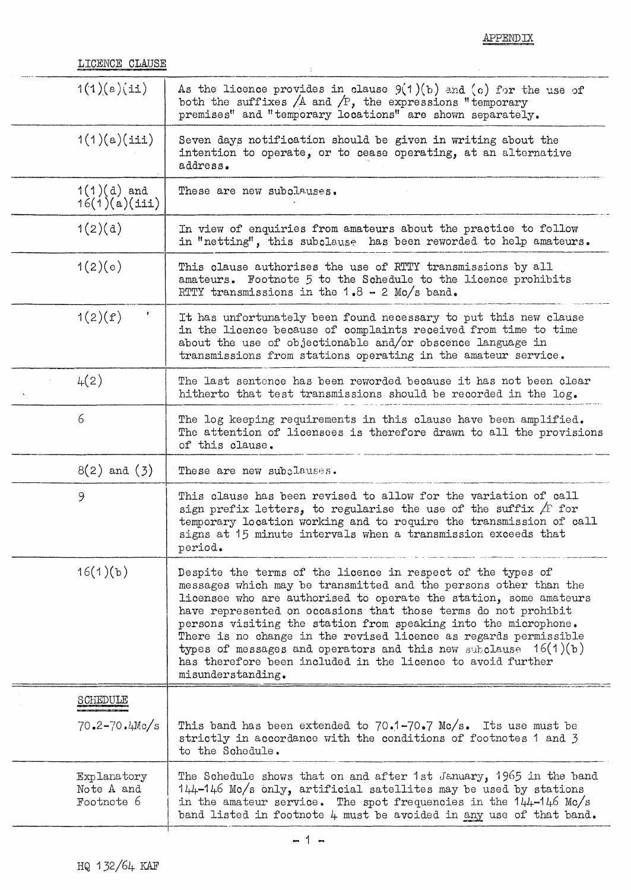APPENDIX

| LICENCE CLAUSE |              |
|----------------|--------------|
|                | ____________ |

| <b>TTCEMCE CTWORE</b>                   |                                                                                                                                                                                                                                                                                                                                                                                                                                                                                                                                                                        |
|-----------------------------------------|------------------------------------------------------------------------------------------------------------------------------------------------------------------------------------------------------------------------------------------------------------------------------------------------------------------------------------------------------------------------------------------------------------------------------------------------------------------------------------------------------------------------------------------------------------------------|
| 1(1)(e)(i)                              | As the licence provides in clause $9(1)(b)$ and (c) for the use of<br>both the suffixes $/A$ and $/P$ , the expressions "temporary<br>premises" and "temporary locations" are shown separately.                                                                                                                                                                                                                                                                                                                                                                        |
| 1(1)(a)(iii)                            | Seven days notification should be given in writing about the<br>intention to operate, or to cease operating, at an alternative<br>address.                                                                                                                                                                                                                                                                                                                                                                                                                             |
| $1(1)(d)$ and<br>16(1)(a)(iii)          | These are new subclauses.                                                                                                                                                                                                                                                                                                                                                                                                                                                                                                                                              |
| 1(2)(d)                                 | In view of enquiries from amateurs about the practice to follow<br>in "netting", this subclause has been reworded to help amateurs.                                                                                                                                                                                                                                                                                                                                                                                                                                    |
| 1(2)(e)                                 | This clause authorises the use of RTTY transmissions by all<br>amateurs. Footnote 5 to the Schedule to the licence prohibits<br>RTTY transmissions in the $1.8 - 2$ Mc/s band.                                                                                                                                                                                                                                                                                                                                                                                         |
| 1(2)(f)                                 | It has unfortunately been found necessary to put this new clause<br>in the licence because of complaints received from time to time<br>about the use of objectionable and/or obscence language in<br>transmissions from stations operating in the amateur service.                                                                                                                                                                                                                                                                                                     |
| 4(2)                                    | The last sentence has been reworded because it has not been clear<br>hitherto that test transmissions should be recorded in the $\log_{\bullet}$                                                                                                                                                                                                                                                                                                                                                                                                                       |
| 6                                       | The log keeping requirements in this clause have been amplified.<br>The attention of licensees is therefore drawn to all the provisions<br>of this clause.                                                                                                                                                                                                                                                                                                                                                                                                             |
| $8(2)$ and $(3)$                        | These are new subclauses.                                                                                                                                                                                                                                                                                                                                                                                                                                                                                                                                              |
| 9                                       | This clause has been revised to allow for the variation of call<br>sign prefix letters, to regularise the use of the suffix $/F$ for<br>temporary location working and to require the transmission of call<br>signs at 15 minute intervals when a transmission exceeds that<br>period.                                                                                                                                                                                                                                                                                 |
| 16(1)(b)                                | Despite the terms of the licence in respect of the types of<br>messages which may be transmitted and the persons other than the<br>licensee who are authorised to operate the station, some amateurs<br>have represented on occasions that those terms do not prohibit<br>persons visiting the station from speaking into the microphone.<br>There is no change in the revised licence as regards permissible<br>types of messages and operators and this new subclause $16(1)(b)$<br>has therefore been included in the licence to avoid further<br>misunderstanding. |
| SCHEDULE                                |                                                                                                                                                                                                                                                                                                                                                                                                                                                                                                                                                                        |
| $70.2 - 70.4$ Mc/s                      | This band has been extended to $70.1-70.7$ Mc/s. Its use must be<br>strictly in accordance with the conditions of footnotes 1 and 3<br>to the Schedule.                                                                                                                                                                                                                                                                                                                                                                                                                |
| Explanatory<br>Note A and<br>Footnote 6 | The Schedule shows that on and after 1st January, 1965 in the band<br>144-146 Mc/s only, artificial satellites may be used by stations<br>in the amateur service. The spot frequencies in the $144-146$ Mc/s<br>band listed in footnote 4 must be avoided in any use of that band.                                                                                                                                                                                                                                                                                     |
|                                         |                                                                                                                                                                                                                                                                                                                                                                                                                                                                                                                                                                        |